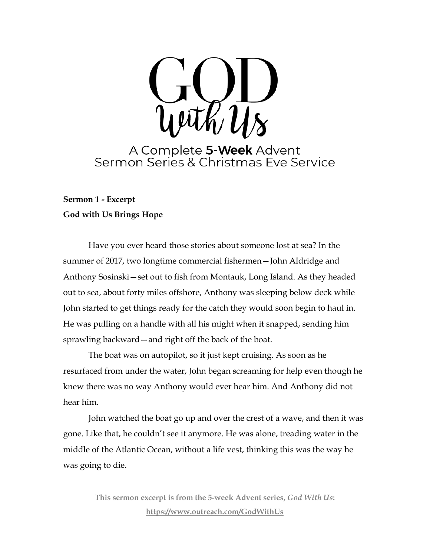

A Complete 5-Week Advent<br>Sermon Series & Christmas Eve Service

# **Sermon 1 - Excerpt God with Us Brings Hope**

Have you ever heard those stories about someone lost at sea? In the summer of 2017, two longtime commercial fishermen—John Aldridge and Anthony Sosinski—set out to fish from Montauk, Long Island. As they headed out to sea, about forty miles offshore, Anthony was sleeping below deck while John started to get things ready for the catch they would soon begin to haul in. He was pulling on a handle with all his might when it snapped, sending him sprawling backward—and right off the back of the boat.

The boat was on autopilot, so it just kept cruising. As soon as he resurfaced from under the water, John began screaming for help even though he knew there was no way Anthony would ever hear him. And Anthony did not hear him.

John watched the boat go up and over the crest of a wave, and then it was gone. Like that, he couldn't see it anymore. He was alone, treading water in the middle of the Atlantic Ocean, without a life vest, thinking this was the way he was going to die.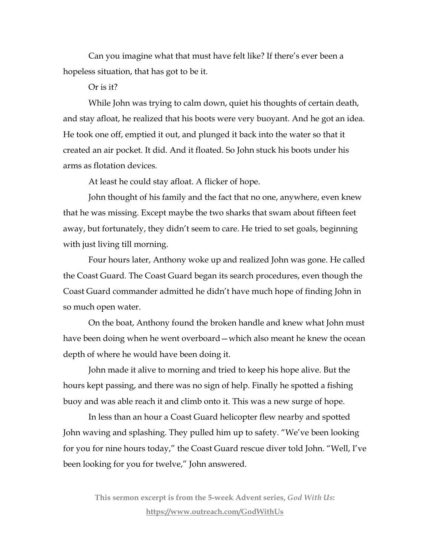Can you imagine what that must have felt like? If there's ever been a hopeless situation, that has got to be it.

Or is it?

While John was trying to calm down, quiet his thoughts of certain death, and stay afloat, he realized that his boots were very buoyant. And he got an idea. He took one off, emptied it out, and plunged it back into the water so that it created an air pocket. It did. And it floated. So John stuck his boots under his arms as flotation devices.

At least he could stay afloat. A flicker of hope.

John thought of his family and the fact that no one, anywhere, even knew that he was missing. Except maybe the two sharks that swam about fifteen feet away, but fortunately, they didn't seem to care. He tried to set goals, beginning with just living till morning.

Four hours later, Anthony woke up and realized John was gone. He called the Coast Guard. The Coast Guard began its search procedures, even though the Coast Guard commander admitted he didn't have much hope of finding John in so much open water.

On the boat, Anthony found the broken handle and knew what John must have been doing when he went overboard—which also meant he knew the ocean depth of where he would have been doing it.

John made it alive to morning and tried to keep his hope alive. But the hours kept passing, and there was no sign of help. Finally he spotted a fishing buoy and was able reach it and climb onto it. This was a new surge of hope.

In less than an hour a Coast Guard helicopter flew nearby and spotted John waving and splashing. They pulled him up to safety. "We've been looking for you for nine hours today," the Coast Guard rescue diver told John. "Well, I've been looking for you for twelve," John answered.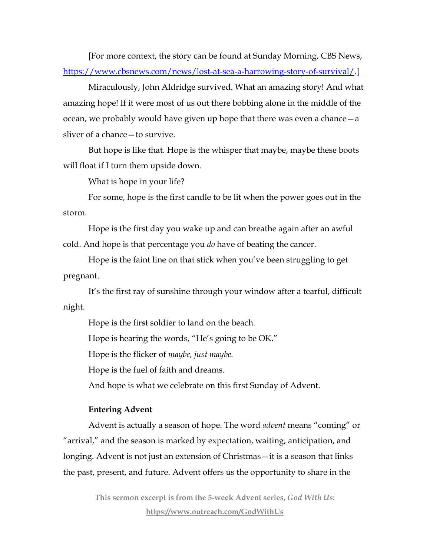[For more context, the story can be found at Sunday Morning, CBS News, [https://www.cbsnews.com/news/lost-at-sea-a-harrowing-story-of-survival/.](https://www.cbsnews.com/news/lost-at-sea-a-harrowing-story-of-survival/)]

Miraculously, John Aldridge survived. What an amazing story! And what amazing hope! If it were most of us out there bobbing alone in the middle of the ocean, we probably would have given up hope that there was even a chance—a sliver of a chance—to survive.

But hope is like that. Hope is the whisper that maybe, maybe these boots will float if I turn them upside down.

What is hope in your life?

For some, hope is the first candle to be lit when the power goes out in the storm.

Hope is the first day you wake up and can breathe again after an awful cold. And hope is that percentage you *do* have of beating the cancer.

Hope is the faint line on that stick when you've been struggling to get pregnant.

It's the first ray of sunshine through your window after a tearful, difficult night.

Hope is the first soldier to land on the beach.

Hope is hearing the words, "He's going to be OK."

Hope is the flicker of *maybe, just maybe.*

Hope is the fuel of faith and dreams.

And hope is what we celebrate on this first Sunday of Advent.

# **Entering Advent**

Advent is actually a season of hope. The word *advent* means "coming" or "arrival," and the season is marked by expectation, waiting, anticipation, and longing. Advent is not just an extension of Christmas—it is a season that links the past, present, and future. Advent offers us the opportunity to share in the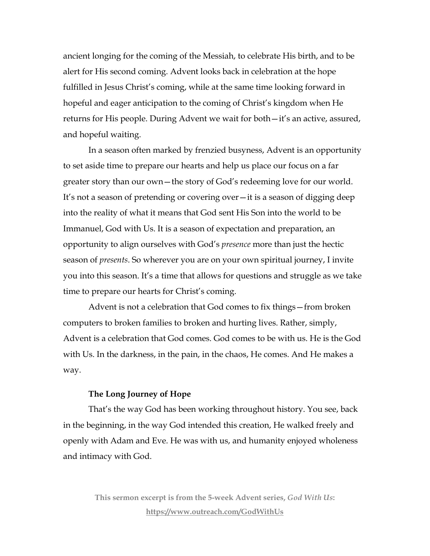ancient longing for the coming of the Messiah, to celebrate His birth, and to be alert for His second coming. Advent looks back in celebration at the hope fulfilled in Jesus Christ's coming, while at the same time looking forward in hopeful and eager anticipation to the coming of Christ's kingdom when He returns for His people. During Advent we wait for both—it's an active, assured, and hopeful waiting.

In a season often marked by frenzied busyness, Advent is an opportunity to set aside time to prepare our hearts and help us place our focus on a far greater story than our own—the story of God's redeeming love for our world. It's not a season of pretending or covering over—it is a season of digging deep into the reality of what it means that God sent His Son into the world to be Immanuel, God with Us. It is a season of expectation and preparation, an opportunity to align ourselves with God's *presence* more than just the hectic season of *presents*. So wherever you are on your own spiritual journey, I invite you into this season. It's a time that allows for questions and struggle as we take time to prepare our hearts for Christ's coming.

Advent is not a celebration that God comes to fix things—from broken computers to broken families to broken and hurting lives. Rather, simply, Advent is a celebration that God comes. God comes to be with us. He is the God with Us. In the darkness, in the pain, in the chaos, He comes. And He makes a way.

# **The Long Journey of Hope**

That's the way God has been working throughout history. You see, back in the beginning, in the way God intended this creation, He walked freely and openly with Adam and Eve. He was with us, and humanity enjoyed wholeness and intimacy with God.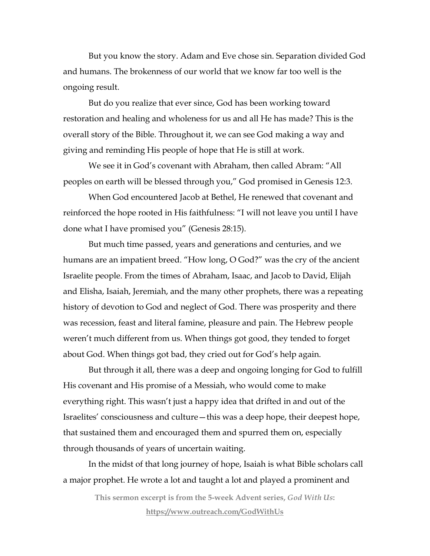But you know the story. Adam and Eve chose sin. Separation divided God and humans. The brokenness of our world that we know far too well is the ongoing result.

But do you realize that ever since, God has been working toward restoration and healing and wholeness for us and all He has made? This is the overall story of the Bible. Throughout it, we can see God making a way and giving and reminding His people of hope that He is still at work.

We see it in God's covenant with Abraham, then called Abram: "All peoples on earth will be blessed through you," God promised in Genesis 12:3.

When God encountered Jacob at Bethel, He renewed that covenant and reinforced the hope rooted in His faithfulness: "I will not leave you until I have done what I have promised you" (Genesis 28:15).

But much time passed, years and generations and centuries, and we humans are an impatient breed. "How long, O God?" was the cry of the ancient Israelite people. From the times of Abraham, Isaac, and Jacob to David, Elijah and Elisha, Isaiah, Jeremiah, and the many other prophets, there was a repeating history of devotion to God and neglect of God. There was prosperity and there was recession, feast and literal famine, pleasure and pain. The Hebrew people weren't much different from us. When things got good, they tended to forget about God. When things got bad, they cried out for God's help again.

But through it all, there was a deep and ongoing longing for God to fulfill His covenant and His promise of a Messiah, who would come to make everything right. This wasn't just a happy idea that drifted in and out of the Israelites' consciousness and culture—this was a deep hope, their deepest hope, that sustained them and encouraged them and spurred them on, especially through thousands of years of uncertain waiting.

In the midst of that long journey of hope, Isaiah is what Bible scholars call a major prophet. He wrote a lot and taught a lot and played a prominent and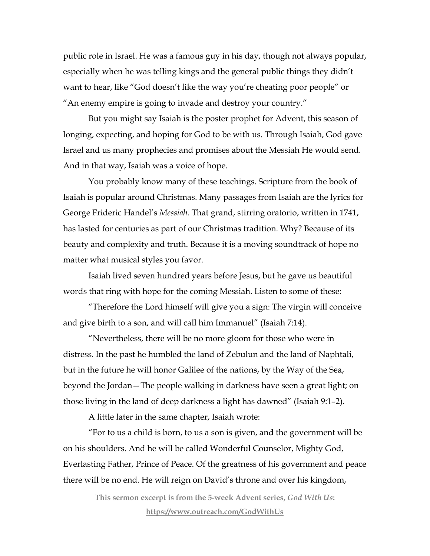public role in Israel. He was a famous guy in his day, though not always popular, especially when he was telling kings and the general public things they didn't want to hear, like "God doesn't like the way you're cheating poor people" or "An enemy empire is going to invade and destroy your country."

But you might say Isaiah is the poster prophet for Advent, this season of longing, expecting, and hoping for God to be with us. Through Isaiah, God gave Israel and us many prophecies and promises about the Messiah He would send. And in that way, Isaiah was a voice of hope.

You probably know many of these teachings. Scripture from the book of Isaiah is popular around Christmas. Many passages from Isaiah are the lyrics for George Frideric Handel's *Messiah.* That grand, stirring oratorio, written in 1741, has lasted for centuries as part of our Christmas tradition. Why? Because of its beauty and complexity and truth. Because it is a moving soundtrack of hope no matter what musical styles you favor.

Isaiah lived seven hundred years before Jesus, but he gave us beautiful words that ring with hope for the coming Messiah. Listen to some of these:

"Therefore the Lord himself will give you a sign: The virgin will conceive and give birth to a son, and will call him Immanuel" (Isaiah 7:14).

"Nevertheless, there will be no more gloom for those who were in distress. In the past he humbled the land of Zebulun and the land of Naphtali, but in the future he will honor Galilee of the nations, by the Way of the Sea, beyond the Jordan—The people walking in darkness have seen a great light; on those living in the land of deep darkness a light has dawned" (Isaiah 9:1–2).

A little later in the same chapter, Isaiah wrote:

"For to us a child is born, to us a son is given, and the government will be on his shoulders. And he will be called Wonderful Counselor, Mighty God, Everlasting Father, Prince of Peace. Of the greatness of his government and peace there will be no end. He will reign on David's throne and over his kingdom,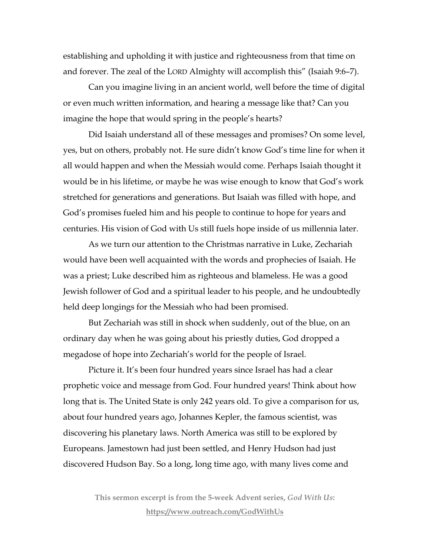establishing and upholding it with justice and righteousness from that time on and forever. The zeal of the LORD Almighty will accomplish this" (Isaiah 9:6–7).

Can you imagine living in an ancient world, well before the time of digital or even much written information, and hearing a message like that? Can you imagine the hope that would spring in the people's hearts?

Did Isaiah understand all of these messages and promises? On some level, yes, but on others, probably not. He sure didn't know God's time line for when it all would happen and when the Messiah would come. Perhaps Isaiah thought it would be in his lifetime, or maybe he was wise enough to know that God's work stretched for generations and generations. But Isaiah was filled with hope, and God's promises fueled him and his people to continue to hope for years and centuries. His vision of God with Us still fuels hope inside of us millennia later.

As we turn our attention to the Christmas narrative in Luke, Zechariah would have been well acquainted with the words and prophecies of Isaiah. He was a priest; Luke described him as righteous and blameless. He was a good Jewish follower of God and a spiritual leader to his people, and he undoubtedly held deep longings for the Messiah who had been promised.

But Zechariah was still in shock when suddenly, out of the blue, on an ordinary day when he was going about his priestly duties, God dropped a megadose of hope into Zechariah's world for the people of Israel.

Picture it. It's been four hundred years since Israel has had a clear prophetic voice and message from God. Four hundred years! Think about how long that is. The United State is only 242 years old. To give a comparison for us, about four hundred years ago, Johannes Kepler, the famous scientist, was discovering his planetary laws. North America was still to be explored by Europeans. Jamestown had just been settled, and Henry Hudson had just discovered Hudson Bay. So a long, long time ago, with many lives come and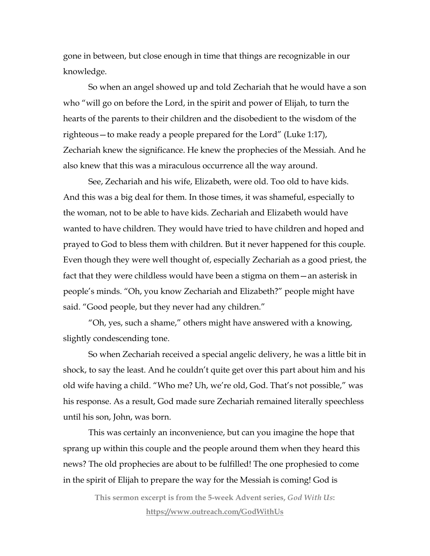gone in between, but close enough in time that things are recognizable in our knowledge.

So when an angel showed up and told Zechariah that he would have a son who "will go on before the Lord, in the spirit and power of Elijah, to turn the hearts of the parents to their children and the disobedient to the wisdom of the righteous—to make ready a people prepared for the Lord" (Luke 1:17), Zechariah knew the significance. He knew the prophecies of the Messiah. And he also knew that this was a miraculous occurrence all the way around.

See, Zechariah and his wife, Elizabeth, were old. Too old to have kids. And this was a big deal for them. In those times, it was shameful, especially to the woman, not to be able to have kids. Zechariah and Elizabeth would have wanted to have children. They would have tried to have children and hoped and prayed to God to bless them with children. But it never happened for this couple. Even though they were well thought of, especially Zechariah as a good priest, the fact that they were childless would have been a stigma on them—an asterisk in people's minds. "Oh, you know Zechariah and Elizabeth?" people might have said. "Good people, but they never had any children."

"Oh, yes, such a shame," others might have answered with a knowing, slightly condescending tone.

So when Zechariah received a special angelic delivery, he was a little bit in shock, to say the least. And he couldn't quite get over this part about him and his old wife having a child. "Who me? Uh, we're old, God. That's not possible," was his response. As a result, God made sure Zechariah remained literally speechless until his son, John, was born.

This was certainly an inconvenience, but can you imagine the hope that sprang up within this couple and the people around them when they heard this news? The old prophecies are about to be fulfilled! The one prophesied to come in the spirit of Elijah to prepare the way for the Messiah is coming! God is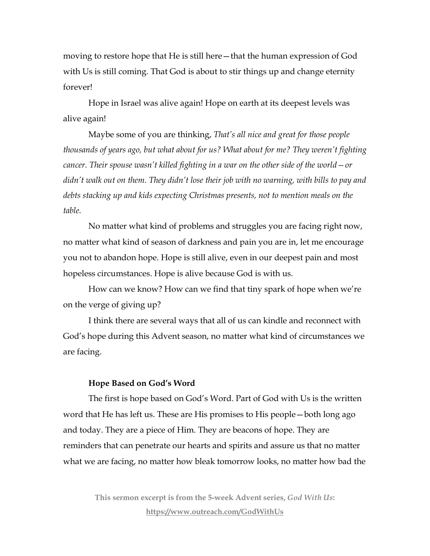moving to restore hope that He is still here—that the human expression of God with Us is still coming. That God is about to stir things up and change eternity forever!

Hope in Israel was alive again! Hope on earth at its deepest levels was alive again!

Maybe some of you are thinking, *That's all nice and great for those people thousands of years ago, but what about for us? What about for me? They weren't fighting cancer. Their spouse wasn't killed fighting in a war on the other side of the world—or didn't walk out on them. They didn't lose their job with no warning, with bills to pay and debts stacking up and kids expecting Christmas presents, not to mention meals on the table.* 

No matter what kind of problems and struggles you are facing right now, no matter what kind of season of darkness and pain you are in, let me encourage you not to abandon hope. Hope is still alive, even in our deepest pain and most hopeless circumstances. Hope is alive because God is with us.

How can we know? How can we find that tiny spark of hope when we're on the verge of giving up?

I think there are several ways that all of us can kindle and reconnect with God's hope during this Advent season, no matter what kind of circumstances we are facing.

### **Hope Based on God's Word**

The first is hope based on God's Word. Part of God with Us is the written word that He has left us. These are His promises to His people—both long ago and today. They are a piece of Him. They are beacons of hope. They are reminders that can penetrate our hearts and spirits and assure us that no matter what we are facing, no matter how bleak tomorrow looks, no matter how bad the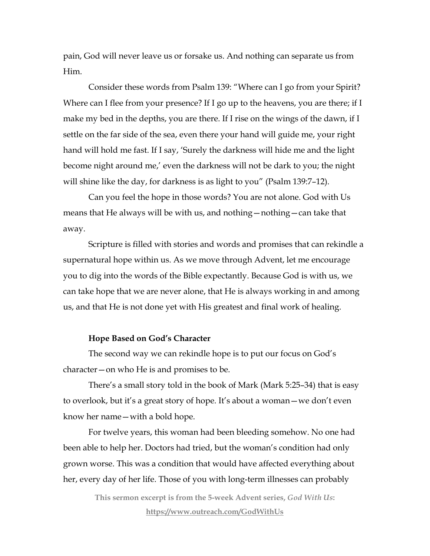pain, God will never leave us or forsake us. And nothing can separate us from Him.

Consider these words from Psalm 139: "Where can I go from your Spirit? Where can I flee from your presence? If I go up to the heavens, you are there; if I make my bed in the depths, you are there. If I rise on the wings of the dawn, if I settle on the far side of the sea, even there your hand will guide me, your right hand will hold me fast. If I say, 'Surely the darkness will hide me and the light become night around me,' even the darkness will not be dark to you; the night will shine like the day, for darkness is as light to you" (Psalm 139:7–12).

Can you feel the hope in those words? You are not alone. God with Us means that He always will be with us, and nothing—nothing—can take that away.

Scripture is filled with stories and words and promises that can rekindle a supernatural hope within us. As we move through Advent, let me encourage you to dig into the words of the Bible expectantly. Because God is with us, we can take hope that we are never alone, that He is always working in and among us, and that He is not done yet with His greatest and final work of healing.

#### **Hope Based on God's Character**

The second way we can rekindle hope is to put our focus on God's character—on who He is and promises to be.

There's a small story told in the book of Mark (Mark 5:25–34) that is easy to overlook, but it's a great story of hope. It's about a woman—we don't even know her name—with a bold hope.

For twelve years, this woman had been bleeding somehow. No one had been able to help her. Doctors had tried, but the woman's condition had only grown worse. This was a condition that would have affected everything about her, every day of her life. Those of you with long-term illnesses can probably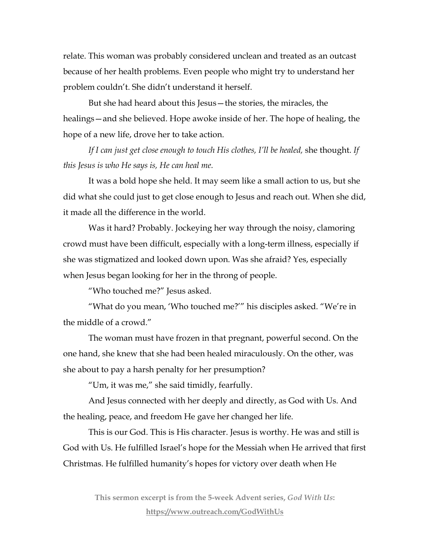relate. This woman was probably considered unclean and treated as an outcast because of her health problems. Even people who might try to understand her problem couldn't. She didn't understand it herself.

But she had heard about this Jesus—the stories, the miracles, the healings—and she believed. Hope awoke inside of her. The hope of healing, the hope of a new life, drove her to take action.

*If I can just get close enough to touch His clothes, I'll be healed,* she thought. *If this Jesus is who He says is, He can heal me.*

It was a bold hope she held. It may seem like a small action to us, but she did what she could just to get close enough to Jesus and reach out. When she did, it made all the difference in the world.

Was it hard? Probably. Jockeying her way through the noisy, clamoring crowd must have been difficult, especially with a long-term illness, especially if she was stigmatized and looked down upon. Was she afraid? Yes, especially when Jesus began looking for her in the throng of people.

"Who touched me?" Jesus asked.

"What do you mean, 'Who touched me?'" his disciples asked. "We're in the middle of a crowd."

The woman must have frozen in that pregnant, powerful second. On the one hand, she knew that she had been healed miraculously. On the other, was she about to pay a harsh penalty for her presumption?

"Um, it was me," she said timidly, fearfully.

And Jesus connected with her deeply and directly, as God with Us. And the healing, peace, and freedom He gave her changed her life.

This is our God. This is His character. Jesus is worthy. He was and still is God with Us. He fulfilled Israel's hope for the Messiah when He arrived that first Christmas. He fulfilled humanity's hopes for victory over death when He